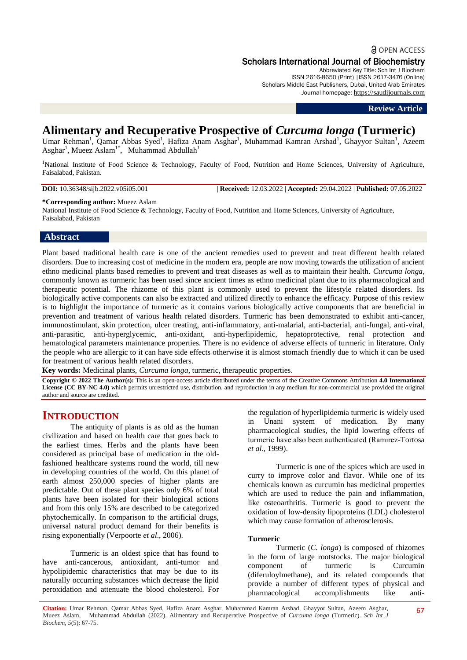# **a** OPEN ACCESS Scholars International Journal of Biochemistry

Abbreviated Key Title: Sch Int J Biochem ISSN 2616-8650 (Print) |ISSN 2617-3476 (Online) Scholars Middle East Publishers, Dubai, United Arab Emirates Journal homepage: [https://saudijournals.com](https://saudijournals.com/sijb)

## **Review Article**

# **Alimentary and Recuperative Prospective of** *Curcuma longa* **(Turmeric)**

Umar Rehman<sup>1</sup>, Qamar Abbas Syed<sup>1</sup>, Hafiza Anam Asghar<sup>1</sup>, Muhammad Kamran Arshad<sup>1</sup>, Ghayyor Sultan<sup>1</sup>, Azeem Asghar<sup>1</sup>, Mueez Aslam<sup>1\*</sup>, Muhammad Abdullah<sup>1</sup>

<sup>1</sup>National Institute of Food Science & Technology, Faculty of Food, Nutrition and Home Sciences, University of Agriculture, Faisalabad, Pakistan.

**DOI:** 10.36348/sijb.2022.v05i05.001 | **Received:** 12.03.2022 | **Accepted:** 29.04.2022 | **Published:** 07.05.2022

#### **\*Corresponding author:** Mueez Aslam

National Institute of Food Science & Technology, Faculty of Food, Nutrition and Home Sciences, University of Agriculture, Faisalabad, Pakistan

## **Abstract**

Plant based traditional health care is one of the ancient remedies used to prevent and treat different health related disorders. Due to increasing cost of medicine in the modern era, people are now moving towards the utilization of ancient ethno medicinal plants based remedies to prevent and treat diseases as well as to maintain their health. *Curcuma longa*, commonly known as turmeric has been used since ancient times as ethno medicinal plant due to its pharmacological and therapeutic potential. The rhizome of this plant is commonly used to prevent the lifestyle related disorders. Its biologically active components can also be extracted and utilized directly to enhance the efficacy. Purpose of this review is to highlight the importance of turmeric as it contains various biologically active components that are beneficial in prevention and treatment of various health related disorders. Turmeric has been demonstrated to exhibit anti-cancer, immunostimulant, skin protection, ulcer treating, anti-inflammatory, anti-malarial, anti-bacterial, anti-fungal, anti-viral, anti-parasitic, anti-hyperglycemic, anti-oxidant, anti-hyperlipidemic, hepatoprotective, renal protection and hematological parameters maintenance properties. There is no evidence of adverse effects of turmeric in literature. Only the people who are allergic to it can have side effects otherwise it is almost stomach friendly due to which it can be used for treatment of various health related disorders.

**Key words:** Medicinal plants, *Curcuma longa*, turmeric, therapeutic properties.

**Copyright © 2022 The Author(s):** This is an open-access article distributed under the terms of the Creative Commons Attribution **4.0 International**  License (CC BY-NC 4.0) which permits unrestricted use, distribution, and reproduction in any medium for non-commercial use provided the original author and source are credited.

# **INTRODUCTION**

The antiquity of plants is as old as the human civilization and based on health care that goes back to the earliest times. Herbs and the plants have been considered as principal base of medication in the oldfashioned healthcare systems round the world, till new in developing countries of the world. On this planet of earth almost 250,000 species of higher plants are predictable. Out of these plant species only 6% of total plants have been isolated for their biological actions and from this only 15% are described to be categorized phytochemically. In comparison to the artificial drugs, universal natural product demand for their benefits is rising exponentially (Verpoorte *et al*., 2006).

Turmeric is an oldest spice that has found to have anti-cancerous, antioxidant, anti-tumor and hypolipidemic characteristics that may be due to its naturally occurring substances which decrease the lipid peroxidation and attenuate the blood cholesterol. For the regulation of hyperlipidemia turmeric is widely used in Unani system of medication. By many pharmacological studies, the lipid lowering effects of turmeric have also been authenticated (Ramırez-Tortosa *et al.,* 1999).

Turmeric is one of the spices which are used in curry to improve color and flavor. While one of its chemicals known as curcumin has medicinal properties which are used to reduce the pain and inflammation, like osteoarthritis. Turmeric is good to prevent the oxidation of low-density lipoproteins (LDL) cholesterol which may cause formation of atherosclerosis.

### **Turmeric**

Turmeric (*C. longa*) is composed of rhizomes in the form of large rootstocks. The major biological component of turmeric is Curcumin (diferuloylmethane), and its related compounds that provide a number of different types of physical and pharmacological accomplishments like anti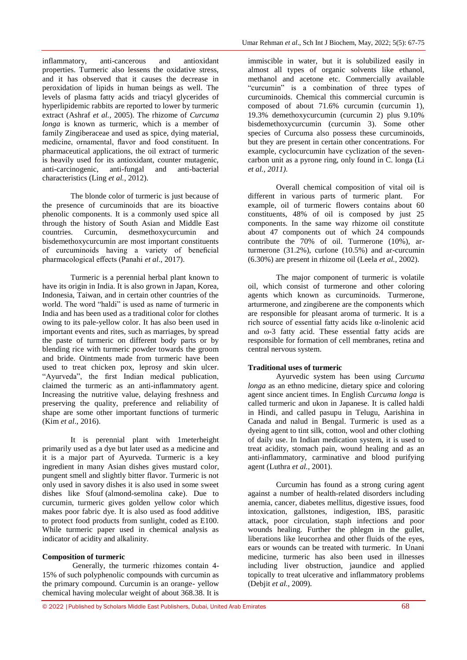inflammatory, anti-cancerous and antioxidant properties. Turmeric also lessens the oxidative stress, and it has observed that it causes the decrease in peroxidation of lipids in human beings as well. The levels of plasma fatty acids and triacyl glycerides of hyperlipidemic rabbits are reported to lower by turmeric extract (Ashraf *et al.,* 2005). The rhizome of *Curcuma longa* is known as turmeric, which is a member of family Zingiberaceae and used as spice, dying material, medicine, ornamental, flavor and food constituent. In pharmaceutical applications, the oil extract of turmeric is heavily used for its antioxidant, counter mutagenic, anti-carcinogenic, anti-fungal and anti-bacterial anti-carcinogenic, anti-fungal and anti-bacterial characteristics (Ling *et al.,* 2012).

The blonde color of turmeric is just because of the presence of curcuminoids that are its bioactive phenolic components. It is a commonly used spice all through the history of South Asian and Middle East countries. Curcumin, desmethoxycurcumin and bisdemethoxycurcumin are most important constituents of curcuminoids having a variety of beneficial pharmacological effects (Panahi *et al*., 2017).

Turmeric is a perennial herbal plant known to have its origin in India. It is also grown in Japan, Korea, Indonesia, Taiwan, and in certain other countries of the world. The word "haldi" is used as name of turmeric in India and has been used as a traditional color for clothes owing to its pale-yellow color. It has also been used in important events and rites, such as marriages, by spread the paste of turmeric on different body parts or by blending rice with turmeric powder towards the groom and bride. Ointments made from turmeric have been used to treat chicken pox, leprosy and skin ulcer. "Ayurveda", the first Indian medical publication, claimed the turmeric as an anti-inflammatory agent. Increasing the nutritive value, delaying freshness and preserving the quality, preference and reliability of shape are some other important functions of turmeric (Kim *et al*., 2016).

It is perennial plant with 1meterheight primarily used as a dye but later used as a medicine and it is a major part of Ayurveda. Turmeric is a key ingredient in many Asian dishes gives mustard color, pungent smell and slightly bitter flavor. Turmeric is not only used in savory dishes it is also used in some sweet dishes like Sfouf (almond-semolina cake). Due to curcumin, turmeric gives golden yellow color which makes poor fabric dye. It is also used as food additive to protect food products from sunlight, coded as E100. While turmeric paper used in chemical analysis as indicator of acidity and alkalinity.

### **Composition of turmeric**

Generally, the turmeric rhizomes contain 4- 15% of such polyphenolic compounds with curcumin as the primary compound. Curcumin is an orange- yellow chemical having molecular weight of about 368.38. It is

immiscible in water, but it is solubilized easily in almost all types of organic solvents like ethanol, methanol and acetone etc. Commercially available "curcumin" is a combination of three types of curcuminoids. Chemical this commercial curcumin is composed of about 71.6% curcumin (curcumin 1), 19.3% demethoxycurcumin (curcumin 2) plus 9.10% bisdemethoxycurcumin (curcumin 3). Some other species of Curcuma also possess these curcuminoids, but they are present in certain other concentrations. For example, cyclocurcumin have cyclization of the sevencarbon unit as a pyrone ring, only found in C. longa (Li *et al., 2011)*.

Overall chemical composition of vital oil is different in various parts of turmeric plant. For example, oil of turmeric flowers contains about 60 constituents, 48% of oil is composed by just 25 components. In the same way rhizome oil constitute about 47 components out of which 24 compounds contribute the  $70\%$  of oil. Turmerone (10%), arturmerone (31.2%), curlone (10.5%) and ar-curcumin (6.30%) are present in rhizome oil (Leela *et al.,* 2002).

The major component of turmeric is volatile oil, which consist of turmerone and other coloring agents which known as curcuminoids. Turmerone, arturmerone, and zingiberene are the components which are responsible for pleasant aroma of turmeric. It is a rich source of essential fatty acids like α-linolenic acid and ω-3 fatty acid. These essential fatty acids are responsible for formation of cell membranes, retina and central nervous system.

## **Traditional uses of turmeric**

Ayurvedic system has been using *Curcuma longa* as an ethno medicine, dietary spice and coloring agent since ancient times. In English *Curcuma longa* is called turmeric and ukon in Japanese. It is called haldi in Hindi, and called pasupu in Telugu, Aarishina in Canada and nalud in Bengal. Turmeric is used as a dyeing agent to tint silk, cotton, wool and other clothing of daily use. In Indian medication system, it is used to treat acidity, stomach pain, wound healing and as an anti-inflammatory, carminative and blood purifying agent (Luthra *et al.,* 2001).

Curcumin has found as a strong curing agent against a number of health-related disorders including anemia, cancer, diabetes mellitus, digestive issues, food intoxication, gallstones, indigestion, IBS, parasitic attack, poor circulation, staph infections and poor wounds healing. Further the phlegm in the gullet, liberations like leucorrhea and other fluids of the eyes, ears or wounds can be treated with turmeric. In Unani medicine, turmeric has also been used in illnesses including liver obstruction, jaundice and applied topically to treat ulcerative and inflammatory problems (Debjit *et al.,* 2009).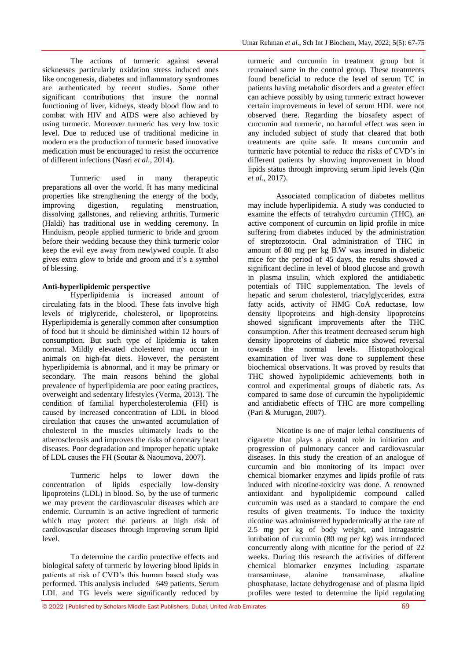The actions of turmeric against several sicknesses particularly oxidation stress induced ones like oncogenesis, diabetes and inflammatory syndromes are authenticated by recent studies. Some other significant contributions that insure the normal functioning of liver, kidneys, steady blood flow and to combat with HIV and AIDS were also achieved by using turmeric. Moreover turmeric has very low toxic level. Due to reduced use of traditional medicine in modern era the production of turmeric based innovative medication must be encouraged to resist the occurrence of different infections (Nasri *et al.,* 2014).

Turmeric used in many therapeutic preparations all over the world. It has many medicinal properties like strengthening the energy of the body, improving digestion, regulating menstruation, dissolving gallstones, and relieving arthritis. Turmeric (Haldi) has traditional use in wedding ceremony. In Hinduism, people applied turmeric to bride and groom before their wedding because they think turmeric color keep the evil eye away from newlywed couple. It also gives extra glow to bride and groom and it's a symbol of blessing.

## **Anti-hyperlipidemic perspective**

Hyperlipidemia is increased amount of circulating fats in the blood. These fats involve high levels of triglyceride, cholesterol, or lipoproteins. Hyperlipidemia is generally common after consumption of food but it should be diminished within 12 hours of consumption. But such type of lipidemia is taken normal. Mildly elevated cholesterol may occur in animals on high-fat diets. However, the persistent hyperlipidemia is abnormal, and it may be primary or secondary. The main reasons behind the global prevalence of hyperlipidemia are poor eating practices, overweight and sedentary lifestyles (Verma, 2013). The condition of familial hypercholesterolemia (FH) is caused by increased concentration of LDL in blood circulation that causes the unwanted accumulation of cholesterol in the muscles ultimately leads to the atherosclerosis and improves the risks of coronary heart diseases. Poor degradation and improper hepatic uptake of LDL causes the FH (Soutar & Naoumova, 2007).

Turmeric helps to lower down the concentration of lipids especially low-density lipoproteins (LDL) in blood. So, by the use of turmeric we may prevent the cardiovascular diseases which are endemic. Curcumin is an active ingredient of turmeric which may protect the patients at high risk of cardiovascular diseases through improving serum lipid level.

To determine the cardio protective effects and biological safety of turmeric by lowering blood lipids in patients at risk of CVD's this human based study was performed. This analysis included 649 patients. Serum LDL and TG levels were significantly reduced by

turmeric and curcumin in treatment group but it remained same in the control group. These treatments found beneficial to reduce the level of serum TC in patients having metabolic disorders and a greater effect can achieve possibly by using turmeric extract however certain improvements in level of serum HDL were not observed there. Regarding the biosafety aspect of curcumin and turmeric, no harmful effect was seen in any included subject of study that cleared that both treatments are quite safe. It means curcumin and turmeric have potential to reduce the risks of CVD's in different patients by showing improvement in blood lipids status through improving serum lipid levels (Qin *et al.,* 2017).

Associated complication of diabetes mellitus may include hyperlipidemia. A study was conducted to examine the effects of tetrahydro curcumin (THC), an active component of curcumin on lipid profile in mice suffering from diabetes induced by the administration of streptozotocin. Oral administration of THC in amount of 80 mg per kg B.W was insured in diabetic mice for the period of 45 days, the results showed a significant decline in level of blood glucose and growth in plasma insulin, which explored the antidiabetic potentials of THC supplementation. The levels of hepatic and serum cholesterol, triacylglycerides, extra fatty acids, activity of HMG CoA reductase, low density lipoproteins and high-density lipoproteins showed significant improvements after the THC consumption. After this treatment decreased serum high density lipoproteins of diabetic mice showed reversal towards the normal levels. Histopathological examination of liver was done to supplement these biochemical observations. It was proved by results that THC showed hypolipidemic achievements both in control and experimental groups of diabetic rats. As compared to same dose of curcumin the hypolipidemic and antidiabetic effects of THC are more compelling (Pari & Murugan, 2007).

Nicotine is one of major lethal constituents of cigarette that plays a pivotal role in initiation and progression of pulmonary cancer and cardiovascular diseases. In this study the creation of an analogue of curcumin and bio monitoring of its impact over chemical biomarker enzymes and lipids profile of rats induced with nicotine-toxicity was done. A renowned antioxidant and hypolipidemic compound called curcumin was used as a standard to compare the end results of given treatments. To induce the toxicity nicotine was administered hypodermically at the rate of 2.5 mg per kg of body weight, and intragastric intubation of curcumin (80 mg per kg) was introduced concurrently along with nicotine for the period of 22 weeks. During this research the activities of different chemical biomarker enzymes including aspartate transaminase, alanine transaminase, alkaline phosphatase, lactate dehydrogenase and of plasma lipid profiles were tested to determine the lipid regulating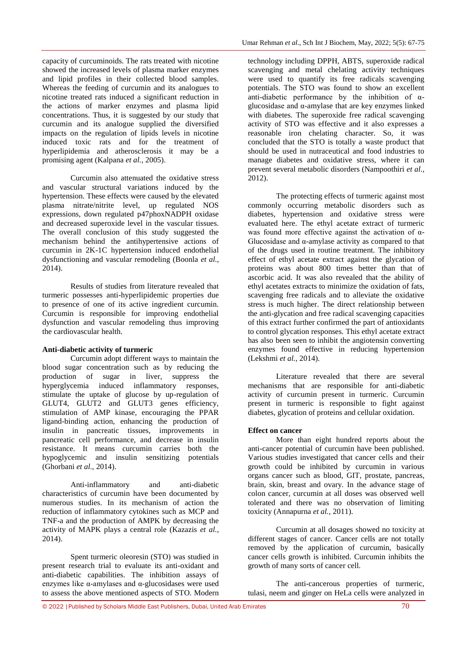capacity of curcuminoids. The rats treated with nicotine showed the increased levels of plasma marker enzymes and lipid profiles in their collected blood samples. Whereas the feeding of curcumin and its analogues to nicotine treated rats induced a significant reduction in the actions of marker enzymes and plasma lipid concentrations. Thus, it is suggested by our study that curcumin and its analogue supplied the diversified impacts on the regulation of lipids levels in nicotine induced toxic rats and for the treatment of hyperlipidemia and atherosclerosis it may be a promising agent (Kalpana *et al.,* 2005).

Curcumin also attenuated the oxidative stress and vascular structural variations induced by the hypertension. These effects were caused by the elevated plasma nitrate/nitrite level, up regulated NOS expressions, down regulated p47phoxNADPH oxidase and decreased superoxide level in the vascular tissues. The overall conclusion of this study suggested the mechanism behind the antihypertensive actions of curcumin in 2K-1C hypertension induced endothelial dysfunctioning and vascular remodeling (Boonla *et al.,* 2014).

Results of studies from literature revealed that turmeric possesses anti-hyperlipidemic properties due to presence of one of its active ingredient curcumin. Curcumin is responsible for improving endothelial dysfunction and vascular remodeling thus improving the cardiovascular health.

### **Anti-diabetic activity of turmeric**

Curcumin adopt different ways to maintain the blood sugar concentration such as by reducing the production of sugar in liver, suppress the hyperglycemia induced inflammatory responses, stimulate the uptake of glucose by up-regulation of GLUT4, GLUT2 and GLUT3 genes efficiency, stimulation of AMP kinase, encouraging the PPAR ligand-binding action, enhancing the production of insulin in pancreatic tissues, improvements in pancreatic cell performance, and decrease in insulin resistance. It means curcumin carries both the hypoglycemic and insulin sensitizing potentials (Ghorbani *et al.,* 2014).

Anti-inflammatory and anti-diabetic characteristics of curcumin have been documented by numerous studies. In its mechanism of action the reduction of inflammatory cytokines such as MCP and TNF-a and the production of AMPK by decreasing the activity of MAPK plays a central role (Kazazis *et al.,*  2014).

Spent turmeric oleoresin (STO) was studied in present research trial to evaluate its anti-oxidant and anti-diabetic capabilities. The inhibition assays of enzymes like  $\alpha$ -amylases and  $\alpha$ -glucosidases were used to assess the above mentioned aspects of STO. Modern

technology including DPPH, ABTS, superoxide radical scavenging and metal chelating activity techniques were used to quantify its free radicals scavenging potentials. The STO was found to show an excellent anti-diabetic performance by the inhibition of  $\alpha$ glucosidase and α-amylase that are key enzymes linked with diabetes. The superoxide free radical scavenging activity of STO was effective and it also expresses a reasonable iron chelating character. So, it was concluded that the STO is totally a waste product that should be used in nutraceutical and food industries to manage diabetes and oxidative stress, where it can prevent several metabolic disorders (Nampoothiri *et al.,*  2012).

The protecting effects of turmeric against most commonly occurring metabolic disorders such as diabetes, hypertension and oxidative stress were evaluated here. The ethyl acetate extract of turmeric was found more effective against the activation of  $\alpha$ -Glucosidase and α-amylase activity as compared to that of the drugs used in routine treatment. The inhibitory effect of ethyl acetate extract against the glycation of proteins was about 800 times better than that of ascorbic acid. It was also revealed that the ability of ethyl acetates extracts to minimize the oxidation of fats, scavenging free radicals and to alleviate the oxidative stress is much higher. The direct relationship between the anti-glycation and free radical scavenging capacities of this extract further confirmed the part of antioxidants to control glycation responses. This ethyl acetate extract has also been seen to inhibit the angiotensin converting enzymes found effective in reducing hypertension (Lekshmi *et al.,* 2014).

Literature revealed that there are several mechanisms that are responsible for anti-diabetic activity of curcumin present in turmeric. Curcumin present in turmeric is responsible to fight against diabetes, glycation of proteins and cellular oxidation.

### **Effect on cancer**

More than eight hundred reports about the anti-cancer potential of curcumin have been published. Various studies investigated that cancer cells and their growth could be inhibited by curcumin in various organs cancer such as blood, GIT, prostate, pancreas, brain, skin, breast and ovary. In the advance stage of colon cancer, curcumin at all doses was observed well tolerated and there was no observation of limiting toxicity (Annapurna *et al.,* 2011).

Curcumin at all dosages showed no toxicity at different stages of cancer. Cancer cells are not totally removed by the application of curcumin, basically cancer cells growth is inhibited. Curcumin inhibits the growth of many sorts of cancer cell.

The anti-cancerous properties of turmeric, tulasi, neem and ginger on HeLa cells were analyzed in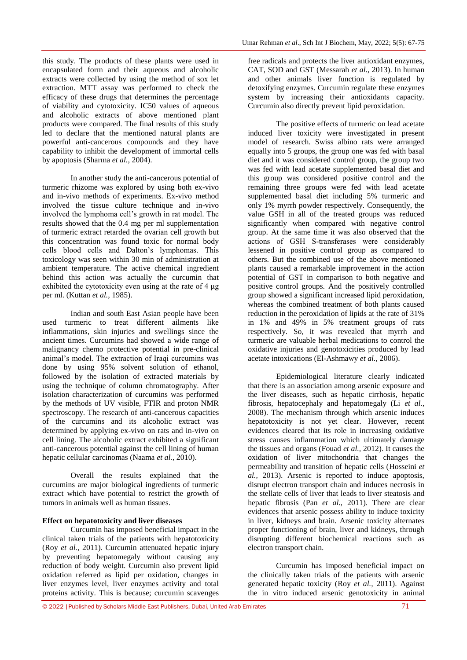this study. The products of these plants were used in encapsulated form and their aqueous and alcoholic extracts were collected by using the method of sox let extraction. MTT assay was performed to check the efficacy of these drugs that determines the percentage of viability and cytotoxicity. IC50 values of aqueous and alcoholic extracts of above mentioned plant products were compared. The final results of this study led to declare that the mentioned natural plants are powerful anti-cancerous compounds and they have capability to inhibit the development of immortal cells by apoptosis (Sharma *et al.,* 2004).

In another study the anti-cancerous potential of turmeric rhizome was explored by using both ex-vivo and in-vivo methods of experiments. Ex-vivo method involved the tissue culture technique and in-vivo involved the lymphoma cell's growth in rat model. The results showed that the 0.4 mg per ml supplementation of turmeric extract retarded the ovarian cell growth but this concentration was found toxic for normal body cells blood cells and Dalton's lymphomas. This toxicology was seen within 30 min of administration at ambient temperature. The active chemical ingredient behind this action was actually the curcumin that exhibited the cytotoxicity even using at the rate of 4 μg per ml. (Kuttan *et al.,* 1985).

Indian and south East Asian people have been used turmeric to treat different ailments like inflammations, skin injuries and swellings since the ancient times. Curcumins had showed a wide range of malignancy chemo protective potential in pre-clinical animal's model. The extraction of Iraqi curcumins was done by using 95% solvent solution of ethanol, followed by the isolation of extracted materials by using the technique of column chromatography. After isolation characterization of curcumins was performed by the methods of UV visible, FTIR and proton NMR spectroscopy. The research of anti-cancerous capacities of the curcumins and its alcoholic extract was determined by applying ex-vivo on rats and in-vivo on cell lining. The alcoholic extract exhibited a significant anti-cancerous potential against the cell lining of human hepatic cellular carcinomas (Naama *et al.,* 2010).

Overall the results explained that the curcumins are major biological ingredients of turmeric extract which have potential to restrict the growth of tumors in animals well as human tissues.

## **Effect on hepatotoxicity and liver diseases**

Curcumin has imposed beneficial impact in the clinical taken trials of the patients with hepatotoxicity (Roy *et al.,* 2011). Curcumin attenuated hepatic injury by preventing hepatomegaly without causing any reduction of body weight. Curcumin also prevent lipid oxidation referred as lipid per oxidation, changes in liver enzymes level, liver enzymes activity and total proteins activity. This is because; curcumin scavenges

free radicals and protects the liver antioxidant enzymes, CAT, SOD and GST (Messarah *et al.,* 2013). In human and other animals liver function is regulated by detoxifying enzymes. Curcumin regulate these enzymes system by increasing their antioxidants capacity. Curcumin also directly prevent lipid peroxidation.

The positive effects of turmeric on lead acetate induced liver toxicity were investigated in present model of research. Swiss albino rats were arranged equally into 5 groups, the group one was fed with basal diet and it was considered control group, the group two was fed with lead acetate supplemented basal diet and this group was considered positive control and the remaining three groups were fed with lead acetate supplemented basal diet including 5% turmeric and only 1% myrrh powder respectively. Consequently, the value GSH in all of the treated groups was reduced significantly when compared with negative control group. At the same time it was also observed that the actions of GSH S-transferases were considerably lessened in positive control group as compared to others. But the combined use of the above mentioned plants caused a remarkable improvement in the action potential of GST in comparison to both negative and positive control groups. And the positively controlled group showed a significant increased lipid peroxidation, whereas the combined treatment of both plants caused reduction in the peroxidation of lipids at the rate of 31% in 1% and 49% in 5% treatment groups of rats respectively. So, it was revealed that myrrh and turmeric are valuable herbal medications to control the oxidative injuries and genotoxicities produced by lead acetate intoxications (El-Ashmawy *et al.,* 2006).

Epidemiological literature clearly indicated that there is an association among arsenic exposure and the liver diseases, such as hepatic cirrhosis, hepatic fibrosis, hepatocephaly and hepatomegaly (Li *et al.,*  2008). The mechanism through which arsenic induces hepatotoxicity is not yet clear. However, recent evidences cleared that its role in increasing oxidative stress causes inflammation which ultimately damage the tissues and organs (Fouad *et al.,* 2012). It causes the oxidation of liver mitochondria that changes the permeability and transition of hepatic cells (Hosseini *et al.,* 2013). Arsenic is reported to induce apoptosis, disrupt electron transport chain and induces necrosis in the stellate cells of liver that leads to liver steatosis and hepatic fibrosis (Pan *et al.,* 2011). There are clear evidences that arsenic possess ability to induce toxicity in liver, kidneys and brain. Arsenic toxicity alternates proper functioning of brain, liver and kidneys, through disrupting different biochemical reactions such as electron transport chain.

Curcumin has imposed beneficial impact on the clinically taken trials of the patients with arsenic generated hepatic toxicity (Roy *et al.,* 2011). Against the in vitro induced arsenic genotoxicity in animal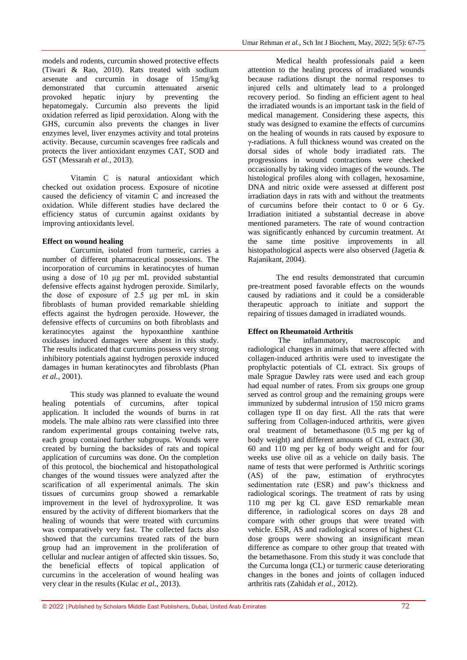models and rodents, curcumin showed protective effects (Tiwari & Rao, 2010). Rats treated with sodium arsenate and curcumin in dosage of 15mg/kg demonstrated that curcumin attenuated arsenic provoked hepatic injury by preventing the hepatomegaly. Curcumin also prevents the lipid oxidation referred as lipid peroxidation. Along with the GHS, curcumin also prevents the changes in liver enzymes level, liver enzymes activity and total proteins activity. Because, curcumin scavenges free radicals and protects the liver antioxidant enzymes CAT, SOD and GST (Messarah *et al.,* 2013).

Vitamin C is natural antioxidant which checked out oxidation process. Exposure of nicotine caused the deficiency of vitamin C and increased the oxidation. While different studies have declared the efficiency status of curcumin against oxidants by improving antioxidants level.

## **Effect on wound healing**

Curcumin, isolated from turmeric, carries a number of different pharmaceutical possessions. The incorporation of curcumins in keratinocytes of human using a dose of 10 μg per mL provided substantial defensive effects against hydrogen peroxide. Similarly, the dose of exposure of 2.5 μg per mL in skin fibroblasts of human provided remarkable shielding effects against the hydrogen peroxide. However, the defensive effects of curcumins on both fibroblasts and keratinocytes against the hypoxanthine xanthine oxidases induced damages were absent in this study. The results indicated that curcumins possess very strong inhibitory potentials against hydrogen peroxide induced damages in human keratinocytes and fibroblasts (Phan *et al.,* 2001).

This study was planned to evaluate the wound healing potentials of curcumins, after topical application. It included the wounds of burns in rat models. The male albino rats were classified into three random experimental groups containing twelve rats, each group contained further subgroups. Wounds were created by burning the backsides of rats and topical application of curcumins was done. On the completion of this protocol, the biochemical and histopathological changes of the wound tissues were analyzed after the scarification of all experimental animals. The skin tissues of curcumins group showed a remarkable improvement in the level of hydroxyproline. It was ensured by the activity of different biomarkers that the healing of wounds that were treated with curcumins was comparatively very fast. The collected facts also showed that the curcumins treated rats of the burn group had an improvement in the proliferation of cellular and nuclear antigen of affected skin tissues. So, the beneficial effects of topical application of curcumins in the acceleration of wound healing was very clear in the results (Kulac *et al.,* 2013).

Medical health professionals paid a keen attention to the healing process of irradiated wounds because radiations disrupt the normal responses to injured cells and ultimately lead to a prolonged recovery period. So finding an efficient agent to heal the irradiated wounds is an important task in the field of medical management. Considering these aspects, this study was designed to examine the effects of curcumins on the healing of wounds in rats caused by exposure to γ-radiations. A full thickness wound was created on the dorsal sides of whole body irradiated rats. The progressions in wound contractions were checked occasionally by taking video images of the wounds. The histological profiles along with collagen, hexosamine, DNA and nitric oxide were assessed at different post irradiation days in rats with and without the treatments of curcumins before their contact to 0 or 6 Gy. Irradiation initiated a substantial decrease in above mentioned parameters. The rate of wound contraction was significantly enhanced by curcumin treatment. At the same time positive improvements in all histopathological aspects were also observed (Jagetia & Rajanikant, 2004).

The end results demonstrated that curcumin pre-treatment posed favorable effects on the wounds caused by radiations and it could be a considerable therapeutic approach to initiate and support the repairing of tissues damaged in irradiated wounds.

## **Effect on Rheumatoid Arthritis**

The inflammatory, macroscopic and radiological changes in animals that were affected with collagen-induced arthritis were used to investigate the prophylactic potentials of CL extract. Six groups of male Sprague Dawley rats were used and each group had equal number of rates. From six groups one group served as control group and the remaining groups were immunized by subdermal intrusion of 150 micro grams collagen type II on day first. All the rats that were suffering from Collagen-induced arthritis, were given oral treatment of betamethasone (0.5 mg per kg of body weight) and different amounts of CL extract (30, 60 and 110 mg per kg of body weight and for four weeks use olive oil as a vehicle on daily basis. The name of tests that were performed is Arthritic scorings (AS) of the paw, estimation of erythrocytes sedimentation rate (ESR) and paw's thickness and radiological scorings. The treatment of rats by using 110 mg per kg CL gave ESD remarkable mean difference, in radiological scores on days 28 and compare with other groups that were treated with vehicle. ESR, AS and radiological scores of highest CL dose groups were showing an insignificant mean difference as compare to other group that treated with the betamethasone. From this study it was conclude that the Curcuma longa (CL) or turmeric cause deteriorating changes in the bones and joints of collagen induced arthritis rats (Zahidah *et al.,* 2012).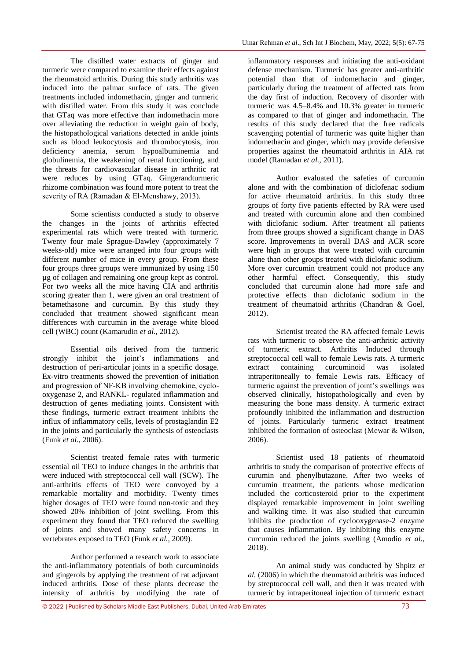The distilled water extracts of ginger and turmeric were compared to examine their effects against the rheumatoid arthritis. During this study arthritis was induced into the palmar surface of rats. The given treatments included indomethacin, ginger and turmeric with distilled water. From this study it was conclude that GTaq was more effective than indomethacin more over alleviating the reduction in weight gain of body, the histopathological variations detected in ankle joints such as blood leukocytosis and thrombocytosis, iron deficiency anemia, serum hypoalbuminemia and globulinemia, the weakening of renal functioning, and the threats for cardiovascular disease in arthritic rat were reduces by using GTaq. Gingerandturmeric rhizome combination was found more potent to treat the severity of RA (Ramadan & El-Menshawy, 2013).

Some scientists conducted a study to observe the changes in the joints of arthritis effected experimental rats which were treated with turmeric. Twenty four male Sprague-Dawley (approximately 7 weeks-old) mice were arranged into four groups with different number of mice in every group. From these four groups three groups were immunized by using 150 µg of collagen and remaining one group kept as control. For two weeks all the mice having CIA and arthritis scoring greater than 1, were given an oral treatment of betamethasone and curcumin. By this study they concluded that treatment showed significant mean differences with curcumin in the average white blood cell (WBC) count (Kamarudin *et al.,* 2012).

Essential oils derived from the turmeric strongly inhibit the joint's inflammations and destruction of peri-articular joints in a specific dosage. Ex-vitro treatments showed the prevention of initiation and progression of NF‐KB involving chemokine, cyclooxygenase 2, and RANKL- regulated inflammation and destruction of genes mediating joints. Consistent with these findings, turmeric extract treatment inhibits the influx of inflammatory cells, levels of prostaglandin E2 in the joints and particularly the synthesis of osteoclasts (Funk *et al.,* 2006).

Scientist treated female rates with turmeric essential oil TEO to induce changes in the arthritis that were induced with streptococcal cell wall (SCW). The anti-arthritis effects of TEO were convoyed by a remarkable mortality and morbidity. Twenty times higher dosages of TEO were found non-toxic and they showed 20% inhibition of joint swelling. From this experiment they found that TEO reduced the swelling of joints and showed many safety concerns in vertebrates exposed to TEO (Funk *et al.,* 2009).

Author performed a research work to associate the anti-inflammatory potentials of both curcuminoids and gingerols by applying the treatment of rat adjuvant induced arthritis. Dose of these plants decrease the intensity of arthritis by modifying the rate of inflammatory responses and initiating the anti-oxidant defense mechanism. Turmeric has greater anti-arthritic potential than that of indomethacin and ginger, particularly during the treatment of affected rats from the day first of induction. Recovery of disorder with turmeric was 4.5–8.4% and 10.3% greater in turmeric as compared to that of ginger and indomethacin. The results of this study declared that the free radicals scavenging potential of turmeric was quite higher than indomethacin and ginger, which may provide defensive properties against the rheumatoid arthritis in AIA rat model (Ramadan *et al.,* 2011).

Author evaluated the safeties of curcumin alone and with the combination of diclofenac sodium for active rheumatoid arthritis. In this study three groups of forty five patients effected by RA were used and treated with curcumin alone and then combined with diclofanic sodium. After treatment all patients from three groups showed a significant change in DAS score. Improvements in overall DAS and ACR score were high in groups that were treated with curcumin alone than other groups treated with diclofanic sodium. More over curcumin treatment could not produce any other harmful effect. Consequently, this study concluded that curcumin alone had more safe and protective effects than diclofanic sodium in the treatment of rheumatoid arthritis (Chandran & Goel, 2012).

Scientist treated the RA affected female Lewis rats with turmeric to observe the anti-arthritic activity of turmeric extract. Arthritis Induced through streptococcal cell wall to female Lewis rats. A turmeric extract containing curcuminoid was isolated intraperitoneally to female Lewis rats. Efficacy of turmeric against the prevention of joint's swellings was observed clinically, histopathologically and even by measuring the bone mass density. A turmeric extract profoundly inhibited the inflammation and destruction of joints. Particularly turmeric extract treatment inhibited the formation of osteoclast (Mewar & Wilson, 2006).

Scientist used 18 patients of rheumatoid arthritis to study the comparison of protective effects of curumin and phenylbutazone. After two weeks of curcumin treatment, the patients whose medication included the corticosteroid prior to the experiment displayed remarkable improvement in joint swelling and walking time. It was also studied that curcumin inhibits the production of cyclooxygenase-2 enzyme that causes inflammation. By inhibiting this enzyme curcumin reduced the joints swelling (Amodio *et al.,*  2018).

An animal study was conducted by Shpitz *et al.* (2006) in which the rheumatoid arthritis was induced by streptococcal cell wall, and then it was treated with turmeric by intraperitoneal injection of turmeric extract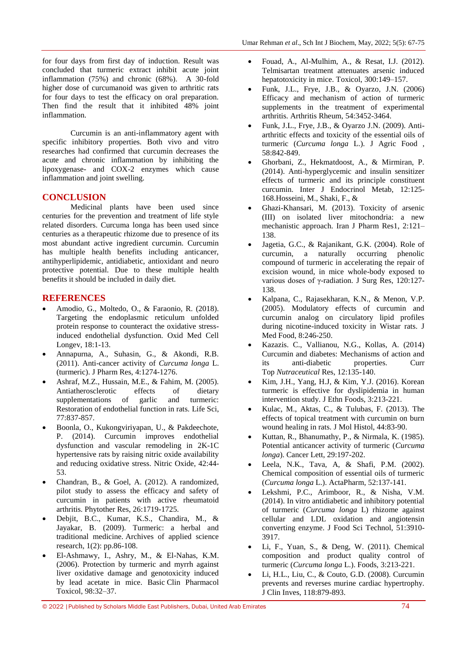for four days from first day of induction. Result was concluded that turmeric extract inhibit acute joint inflammation (75%) and chronic (68%). A 30-fold higher dose of curcumanoid was given to arthritic rats for four days to test the efficacy on oral preparation. Then find the result that it inhibited 48% joint inflammation.

Curcumin is an anti-inflammatory agent with specific inhibitory properties. Both vivo and vitro researches had confirmed that curcumin decreases the acute and chronic inflammation by inhibiting the lipoxygenase- and COX-2 enzymes which cause inflammation and joint swelling.

## **CONCLUSION**

Medicinal plants have been used since centuries for the prevention and treatment of life style related disorders. Curcuma longa has been used since centuries as a therapeutic rhizome due to presence of its most abundant active ingredient curcumin. Curcumin has multiple health benefits including anticancer, antihyperlipidemic, antidiabetic, antioxidant and neuro protective potential. Due to these multiple health benefits it should be included in daily diet.

## **REFERENCES**

- Amodio, G., Moltedo, O., & Faraonio, R. (2018). Targeting the endoplasmic reticulum unfolded protein response to counteract the oxidative stressinduced endothelial dysfunction. Oxid Med Cell Longev, 18:1-13.
- Annapurna, A., Suhasin, G., & Akondi, R.B. (2011). Anti-cancer activity of *Curcuma longa* L. (turmeric). J Pharm Res, 4:1274-1276.
- Ashraf, M.Z., Hussain, M.E., & Fahim, M. (2005). Antiatherosclerotic effects of dietary supplementations of garlic and turmeric: Restoration of endothelial function in rats. Life Sci, 77:837-857.
- Boonla, O., Kukongviriyapan, U., & Pakdeechote, P. (2014). Curcumin improves endothelial dysfunction and vascular remodeling in 2K-1C hypertensive rats by raising nitric oxide availability and reducing oxidative stress. Nitric Oxide, 42:44- 53.
- Chandran, B., & Goel, A. (2012). A randomized, pilot study to assess the efficacy and safety of curcumin in patients with active rheumatoid arthritis. Phytother Res, 26:1719-1725.
- Debjit, B.C., Kumar, K.S., Chandira, M., & Jayakar, B. (2009). Turmeric: a herbal and traditional medicine. Archives of applied science research, 1(2): pp.86-108.
- El-Ashmawy, I., Ashry, M., & El-Nahas, K.M. (2006). Protection by turmeric and myrrh against liver oxidative damage and genotoxicity induced by lead acetate in mice. Basic Clin Pharmacol Toxicol, 98:32–37.
- Fouad, A., Al-Mulhim, A., & Resat, I.J. (2012). Telmisartan treatment attenuates arsenic induced hepatotoxicity in mice. Toxicol, 300:149–157.
- Funk, J.L., Frye, J.B., & Oyarzo, J.N. (2006) Efficacy and mechanism of action of turmeric supplements in the treatment of experimental arthritis. Arthritis Rheum, 54:3452-3464.
- Funk, J.L., Frye, J.B., & Oyarzo J.N. (2009). Antiarthritic effects and toxicity of the essential oils of turmeric (*Curcuma longa* L.). J Agric Food , 58:842-849.
- Ghorbani, Z., Hekmatdoost, A., & Mirmiran, P. (2014). Anti-hyperglycemic and insulin sensitizer effects of turmeric and its principle constituent curcumin. Inter J Endocrinol Metab, 12:125- 168.Hosseini, M., Shaki, F., &
- Ghazi-Khansari, M. (2013). Toxicity of arsenic (III) on isolated liver mitochondria: a new mechanistic approach. Iran J Pharm Res1, 2:121– 138.
- Jagetia, G.C., & Rajanikant, G.K. (2004). Role of curcumin, a naturally occurring phenolic compound of turmeric in accelerating the repair of excision wound, in mice whole-body exposed to various doses of γ-radiation. J Surg Res, 120:127- 138.
- Kalpana, C., Rajasekharan, K.N., & Menon, V.P. (2005). Modulatory effects of curcumin and curcumin analog on circulatory lipid profiles during nicotine-induced toxicity in Wistar rats. J Med Food, 8:246-250.
- Kazazis. C., Vallianou, N.G., Kollas, A. (2014) Curcumin and diabetes: Mechanisms of action and its anti-diabetic properties. Curr Top *Nutraceutical* Res, 12:135-140.
- Kim, J.H., Yang, H.J, & Kim, Y.J. (2016). Korean turmeric is effective for dyslipidemia in human intervention study. J Ethn Foods, 3:213-221.
- Kulac, M., Aktas, C., & Tulubas, F. (2013). The effects of topical treatment with curcumin on burn wound healing in rats. J Mol Histol, 44:83-90.
- Kuttan, R., Bhanumathy, P., & Nirmala, K. (1985). Potential anticancer activity of turmeric (*Curcuma longa*). Cancer Lett, 29:197-202.
- Leela, N.K., Tava, A, & Shafi, P.M. (2002). Chemical composition of essential oils of turmeric (*Curcuma longa* L.). ActaPharm, 52:137-141.
- Lekshmi, P.C., Arimboor, R., & Nisha, V.M. (2014). In vitro antidiabetic and inhibitory potential of turmeric (*Curcuma longa* L) rhizome against cellular and LDL oxidation and angiotensin converting enzyme. J Food Sci Technol, 51:3910- 3917.
- Li, F., Yuan, S., & Deng, W. (2011). Chemical composition and product quality control of turmeric (*Curcuma longa* L.). Foods, 3:213-221.
- Li, H.L., Liu, C., & Couto, G.D. (2008). Curcumin prevents and reverses murine cardiac hypertrophy. J Clin Inves, 118:879-893.

© 2022 |Published by Scholars Middle East Publishers, Dubai, United Arab Emirates 74